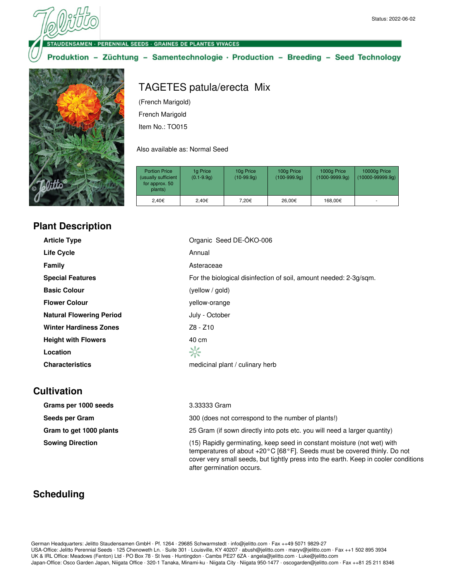#### · PERENNIAL SEEDS · GRAINES DE PLANTES VIVACES

(French Marigold) French Marigold Item No.: TO015

### Produktion - Züchtung - Samentechnologie · Production - Breeding - Seed Technology

TAGETES patula/erecta Mix



#### Also available as: Normal Seed

| <b>Portion Price</b><br>(usually sufficient<br>for approx. 50<br>plants) | 1g Price<br>$(0.1 - 9.9q)$ | 10g Price<br>$(10-99.9q)$ | 100g Price<br>$(100-999.9q)$ | 1000g Price<br>$(1000 - 9999.9q)$ | 10000g Price<br>$(10000 - 99999.9q)$ |
|--------------------------------------------------------------------------|----------------------------|---------------------------|------------------------------|-----------------------------------|--------------------------------------|
| 2.40€                                                                    | 2.40€                      | 7.20€                     | 26.00€                       | 168.00€                           |                                      |

#### **Plant Description**

| <b>Article Type</b>             | Organic Seed DE-ÖKO-006                                           |
|---------------------------------|-------------------------------------------------------------------|
| <b>Life Cycle</b>               | Annual                                                            |
| Family                          | Asteraceae                                                        |
| <b>Special Features</b>         | For the biological disinfection of soil, amount needed: 2-3g/sqm. |
| <b>Basic Colour</b>             | (yellow / gold)                                                   |
| <b>Flower Colour</b>            | yellow-orange                                                     |
| <b>Natural Flowering Period</b> | July - October                                                    |
| <b>Winter Hardiness Zones</b>   | Z8 - Z10                                                          |
| <b>Height with Flowers</b>      | 40 cm                                                             |
| Location                        | ☆                                                                 |
| <b>Characteristics</b>          | medicinal plant / culinary herb                                   |

## **Cultivation**

| Grams per 1000 seeds    | 3.33333 Gram                                                                                                                                                                                                                                                            |
|-------------------------|-------------------------------------------------------------------------------------------------------------------------------------------------------------------------------------------------------------------------------------------------------------------------|
| Seeds per Gram          | 300 (does not correspond to the number of plants!)                                                                                                                                                                                                                      |
| Gram to get 1000 plants | 25 Gram (if sown directly into pots etc. you will need a larger quantity)                                                                                                                                                                                               |
| <b>Sowing Direction</b> | (15) Rapidly germinating, keep seed in constant moisture (not wet) with<br>temperatures of about +20°C [68°F]. Seeds must be covered thinly. Do not<br>cover very small seeds, but tightly press into the earth. Keep in cooler conditions<br>after germination occurs. |

# **Scheduling**